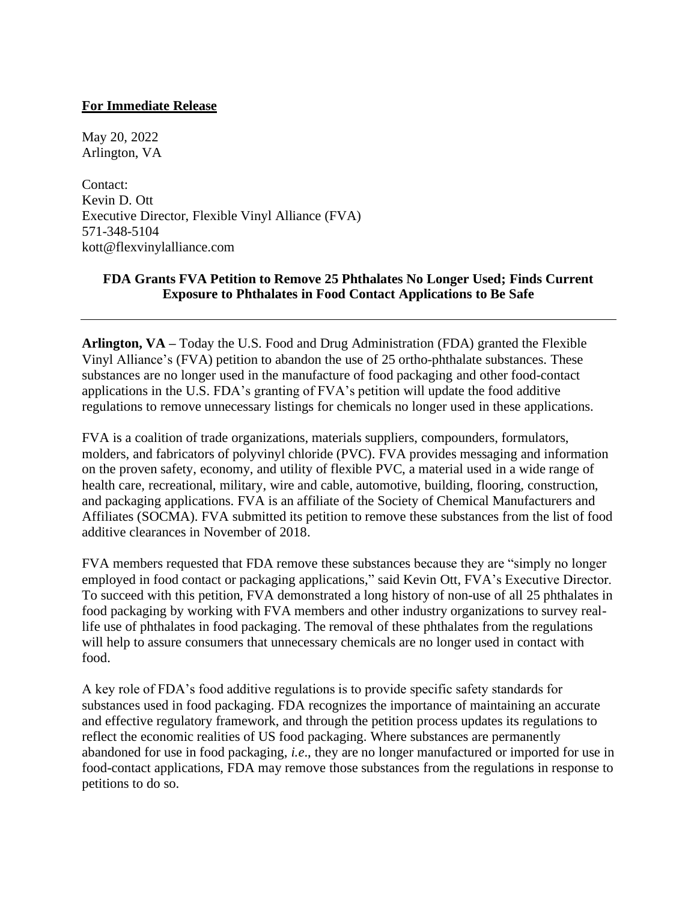## **For Immediate Release**

May 20, 2022 Arlington, VA

Contact: Kevin D. Ott Executive Director, Flexible Vinyl Alliance (FVA) 571-348-5104 kott@flexvinylalliance.com

## **FDA Grants FVA Petition to Remove 25 Phthalates No Longer Used; Finds Current Exposure to Phthalates in Food Contact Applications to Be Safe**

**Arlington, VA –** Today the U.S. Food and Drug Administration (FDA) granted the Flexible Vinyl Alliance's (FVA) petition to abandon the use of 25 ortho-phthalate substances. These substances are no longer used in the manufacture of food packaging and other food-contact applications in the U.S. FDA's granting of FVA's petition will update the food additive regulations to remove unnecessary listings for chemicals no longer used in these applications.

FVA is a coalition of trade organizations, materials suppliers, compounders, formulators, molders, and fabricators of polyvinyl chloride (PVC). FVA provides messaging and information on the proven safety, economy, and utility of flexible PVC, a material used in a wide range of health care, recreational, military, wire and cable, automotive, building, flooring, construction, and packaging applications. FVA is an affiliate of the Society of Chemical Manufacturers and Affiliates (SOCMA). FVA submitted its petition to remove these substances from the list of food additive clearances in November of 2018.

FVA members requested that FDA remove these substances because they are "simply no longer employed in food contact or packaging applications," said Kevin Ott, FVA's Executive Director. To succeed with this petition, FVA demonstrated a long history of non-use of all 25 phthalates in food packaging by working with FVA members and other industry organizations to survey reallife use of phthalates in food packaging. The removal of these phthalates from the regulations will help to assure consumers that unnecessary chemicals are no longer used in contact with food.

A key role of FDA's food additive regulations is to provide specific safety standards for substances used in food packaging. FDA recognizes the importance of maintaining an accurate and effective regulatory framework, and through the petition process updates its regulations to reflect the economic realities of US food packaging. Where substances are permanently abandoned for use in food packaging, *i.e*., they are no longer manufactured or imported for use in food-contact applications, FDA may remove those substances from the regulations in response to petitions to do so.